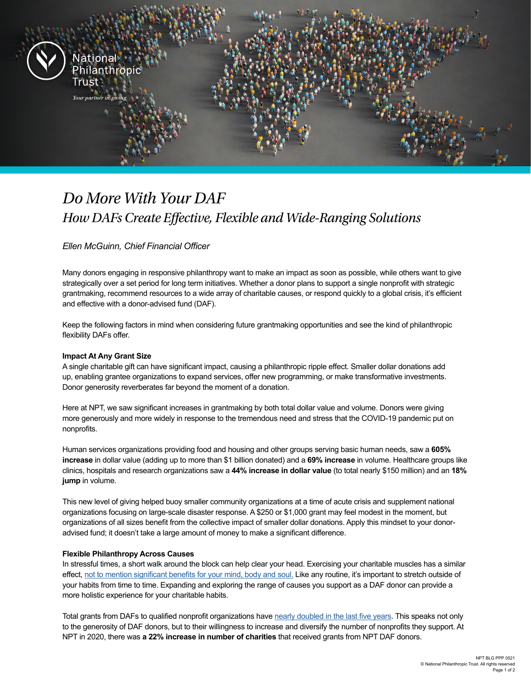

# *Do More With Your DAF How DAFs Create Effective, Flexible and Wide-Ranging Solutions*

*Ellen McGuinn, Chief Financial Officer*

Many donors engaging in responsive philanthropy want to make an impact as soon as possible, while others want to give strategically over a set period for long term initiatives. Whether a donor plans to support a single nonprofit with strategic grantmaking, recommend resources to a wide array of charitable causes, or respond quickly to a global crisis, it's efficient and effective with a donor-advised fund (DAF).   

Keep the following factors in mind when considering future grantmaking opportunities and see the kind of philanthropic flexibility DAFs offer.   

### **Impact At Any Grant Size**

A single charitable gift can have significant impact, causing a philanthropic ripple effect. Smaller dollar donations add up, enabling grantee organizations to expand services, offer new programming, or make transformative investments. Donor generosity reverberates far beyond the moment of a donation.  

Here at NPT, we saw significant increases in grantmaking by both total dollar value and volume. Donors were giving more generously and more widely in response to the tremendous need and stress that the COVID-19 pandemic put on nonprofits.

Human services organizations providing food and housing and other groups serving basic human needs, saw a **605% increase** in dollar value (adding up to more than \$1 billion donated) and a **69% increase** in volume. Healthcare groups like clinics, hospitals and research organizations saw a **44% increase in dollar value** (to total nearly \$150 million) and an **18% jump** in volume.

This new level of giving helped buoy smaller community organizations at a time of acute crisis and supplement national organizations focusing on large-scale disaster response. A \$250 or \$1,000 grant may feel modest in the moment, but organizations of all sizes benefit from the collective impact of smaller dollar donations. Apply this mindset to your donoradvised fund; it doesn't take a large amount of money to make a significant difference.  

### **Flexible Philanthropy Across Causes**

In stressful times, a short walk around the block can help clear your head. Exercising your charitable muscles has a similar effect, not to mention [significant benefits for your mind,](https://www.nptrust.org/philanthropic-resources/philanthropist/giving-is-good-for-your-health/) body and soul. Like any routine, it's important to stretch outside of your habits from time to time. Expanding and exploring the range of causes you support as a DAF donor can provide a more holistic experience for your charitable habits.  

Total grants from DAFs to qualified nonprofit organizations have [nearly doubled in the last five years](https://www.nptrust.org/reports/daf-report/?gclid=EAIaIQobChMIoauqh47I8AIV2PrICh03ggtuEAAYASAAEgLOcvD_BwE). This speaks not only to the generosity of DAF donors, but to their willingness to increase and diversify the number of nonprofits they support. At NPT in 2020, there was **a 22% increase in number of charities** that received grants from NPT DAF donors.